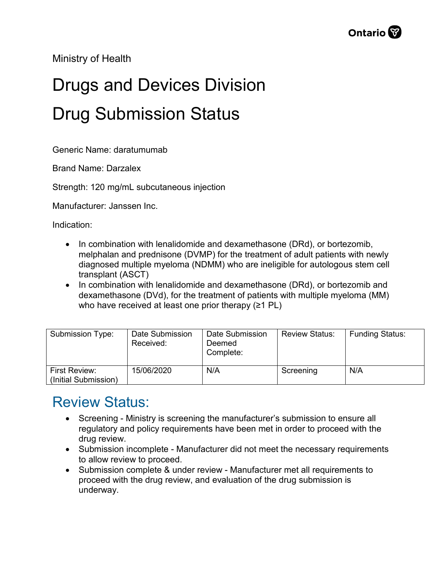Ministry of Health

## Drugs and Devices Division Drug Submission Status

Generic Name: daratumumab

Brand Name: Darzalex

Strength: 120 mg/mL subcutaneous injection

Manufacturer: Janssen Inc.

Indication:

- In combination with lenalidomide and dexamethasone (DRd), or bortezomib, melphalan and prednisone (DVMP) for the treatment of adult patients with newly diagnosed multiple myeloma (NDMM) who are ineligible for autologous stem cell transplant (ASCT)
- In combination with lenalidomide and dexamethasone (DRd), or bortezomib and dexamethasone (DVd), for the treatment of patients with multiple myeloma (MM) who have received at least one prior therapy (≥1 PL)

| Submission Type:                      | Date Submission<br>Received: | Date Submission<br>Deemed<br>Complete: | <b>Review Status:</b> | <b>Funding Status:</b> |
|---------------------------------------|------------------------------|----------------------------------------|-----------------------|------------------------|
| First Review:<br>(Initial Submission) | 15/06/2020                   | N/A                                    | Screening             | N/A                    |

## Review Status:

- Screening Ministry is screening the manufacturer's submission to ensure all regulatory and policy requirements have been met in order to proceed with the drug review.
- Submission incomplete Manufacturer did not meet the necessary requirements to allow review to proceed.
- Submission complete & under review Manufacturer met all requirements to proceed with the drug review, and evaluation of the drug submission is underway.